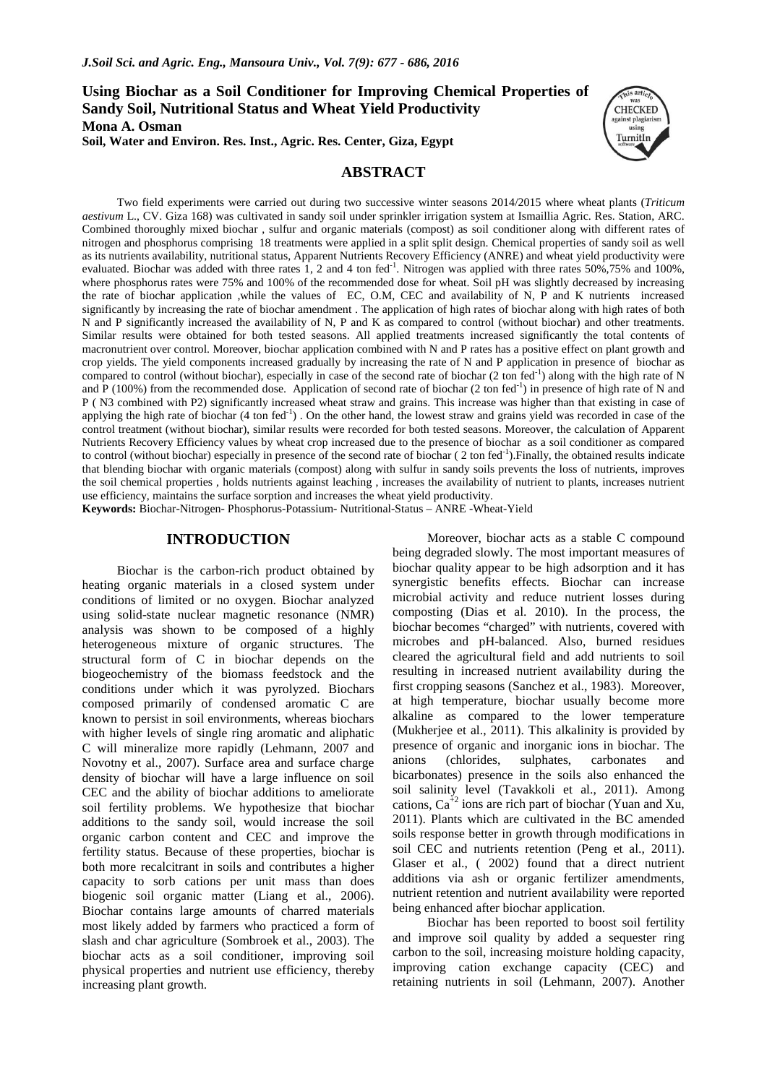**Using Biochar as a Soil Conditioner for Improving Chemical Properties of Sandy Soil, Nutritional Status and Wheat Yield Productivity Mona A. Osman Soil, Water and Environ. Res. Inst., Agric. Res. Center, Giza, Egypt**



### **ABSTRACT**

Two field experiments were carried out during two successive winter seasons 2014/2015 where wheat plants (*Triticum aestivum* L., CV. Giza 168) was cultivated in sandy soil under sprinkler irrigation system at Ismaillia Agric. Res. Station, ARC. Combined thoroughly mixed biochar , sulfur and organic materials (compost) as soil conditioner along with different rates of nitrogen and phosphorus comprising 18 treatments were applied in a split split design. Chemical properties of sandy soil as well as its nutrients availability, nutritional status, Apparent Nutrients Recovery Efficiency (ANRE) and wheat yield productivity were evaluated. Biochar was added with three rates  $1, 2$  and 4 ton fed<sup>-1</sup>. Nitrogen was applied with three rates 50%,75% and 100%, where phosphorus rates were 75% and 100% of the recommended dose for wheat. Soil pH was slightly decreased by increasing the rate of biochar application ,while the values of EC, O.M, CEC and availability of N, P and K nutrients increased significantly by increasing the rate of biochar amendment . The application of high rates of biochar along with high rates of both N and P significantly increased the availability of N, P and K as compared to control (without biochar) and other treatments. Similar results were obtained for both tested seasons. All applied treatments increased significantly the total contents of macronutrient over control. Moreover, biochar application combined with N and P rates has a positive effect on plant growth and crop yields. The yield components increased gradually by increasing the rate of N and P application in presence of biochar as compared to control (without biochar), especially in case of the second rate of biochar  $(2 \text{ ton fed}^{-1})$  along with the high rate of N and P (100%) from the recommended dose. Application of second rate of biochar (2 ton fed<sup>-1</sup>) in presence of high rate of N and P ( N3 combined with P2) significantly increased wheat straw and grains. This increase was higher than that existing in case of applying the high rate of biochar  $(4 \text{ ton fed}^{-1})$ . On the other hand, the lowest straw and grains yield was recorded in case of the control treatment (without biochar), similar results were recorded for both tested seasons. Moreover, the calculation of Apparent Nutrients Recovery Efficiency values by wheat crop increased due to the presence of biochar as a soil conditioner as compared to control (without biochar) especially in presence of the second rate of biochar  $(2 \text{ ton fed}^{-1})$ . Finally, the obtained results indicate that blending biochar with organic materials (compost) along with sulfur in sandy soils prevents the loss of nutrients, improves the soil chemical properties , holds nutrients against leaching , increases the availability of nutrient to plants, increases nutrient use efficiency, maintains the surface sorption and increases the wheat yield productivity.

**Keywords:** Biochar-Nitrogen- Phosphorus-Potassium- Nutritional-Status – ANRE -Wheat-Yield

# **INTRODUCTION**

Biochar is the carbon-rich product obtained by heating organic materials in a closed system under conditions of limited or no oxygen. Biochar analyzed using solid-state nuclear magnetic resonance (NMR) analysis was shown to be composed of a highly heterogeneous mixture of organic structures. The structural form of C in biochar depends on the biogeochemistry of the biomass feedstock and the conditions under which it was pyrolyzed. Biochars composed primarily of condensed aromatic C are known to persist in soil environments, whereas biochars with higher levels of single ring aromatic and aliphatic C will mineralize more rapidly (Lehmann, 2007 and Novotny et al., 2007). Surface area and surface charge density of biochar will have a large influence on soil CEC and the ability of biochar additions to ameliorate soil fertility problems. We hypothesize that biochar additions to the sandy soil, would increase the soil organic carbon content and CEC and improve the fertility status. Because of these properties, biochar is both more recalcitrant in soils and contributes a higher capacity to sorb cations per unit mass than does biogenic soil organic matter (Liang et al., 2006). Biochar contains large amounts of charred materials most likely added by farmers who practiced a form of slash and char agriculture (Sombroek et al., 2003). The biochar acts as a soil conditioner, improving soil physical properties and nutrient use efficiency, thereby increasing plant growth.

Moreover, biochar acts as a stable C compound being degraded slowly. The most important measures of biochar quality appear to be high adsorption and it has synergistic benefits effects. Biochar can increase microbial activity and reduce nutrient losses during composting (Dias et al. 2010). In the process, the biochar becomes "charged" with nutrients, covered with microbes and pH-balanced. Also, burned residues cleared the agricultural field and add nutrients to soil resulting in increased nutrient availability during the first cropping seasons (Sanchez et al., 1983). Moreover, at high temperature, biochar usually become more alkaline as compared to the lower temperature (Mukherjee et al., 2011). This alkalinity is provided by presence of organic and inorganic ions in biochar. The anions (chlorides, sulphates, carbonates and bicarbonates) presence in the soils also enhanced the soil salinity level (Tavakkoli et al., 2011). Among cations,  $Ca^{2}$  ions are rich part of biochar (Yuan and Xu, 2011). Plants which are cultivated in the BC amended soils response better in growth through modifications in soil CEC and nutrients retention (Peng et al., 2011). Glaser et al., ( 2002) found that a direct nutrient additions via ash or organic fertilizer amendments, nutrient retention and nutrient availability were reported being enhanced after biochar application.

Biochar has been reported to boost soil fertility and improve soil quality by added a sequester ring carbon to the soil, increasing moisture holding capacity, improving cation exchange capacity (CEC) and retaining nutrients in soil (Lehmann, 2007). Another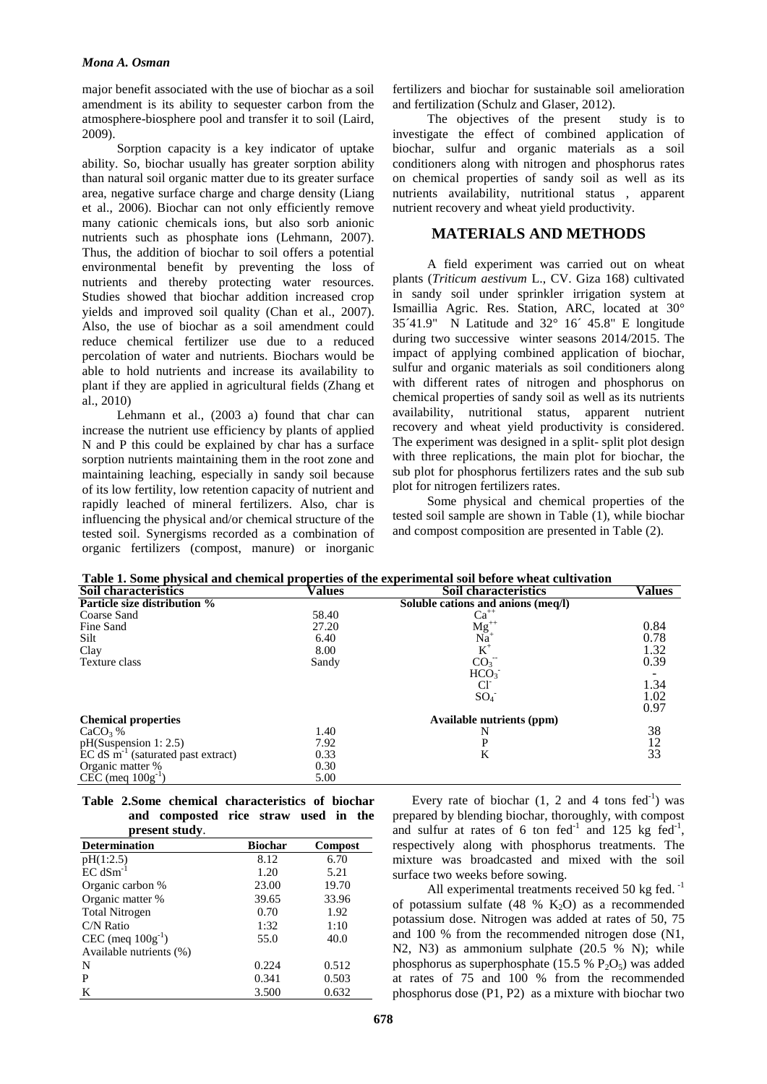major benefit associated with the use of biochar as a soil amendment is its ability to sequester carbon from the atmosphere-biosphere pool and transfer it to soil (Laird, 2009).

Sorption capacity is a key indicator of uptake ability. So, biochar usually has greater sorption ability than natural soil organic matter due to its greater surface area, negative surface charge and charge density (Liang et al., 2006). Biochar can not only efficiently remove many cationic chemicals ions, but also sorb anionic nutrients such as phosphate ions (Lehmann, 2007). Thus, the addition of biochar to soil offers a potential environmental benefit by preventing the loss of nutrients and thereby protecting water resources. Studies showed that biochar addition increased crop yields and improved soil quality (Chan et al., 2007). Also, the use of biochar as a soil amendment could reduce chemical fertilizer use due to a reduced percolation of water and nutrients. Biochars would be able to hold nutrients and increase its availability to plant if they are applied in agricultural fields (Zhang et al., 2010)

Lehmann et al., (2003 a) found that char can increase the nutrient use efficiency by plants of applied N and P this could be explained by char has a surface sorption nutrients maintaining them in the root zone and maintaining leaching, especially in sandy soil because of its low fertility, low retention capacity of nutrient and rapidly leached of mineral fertilizers. Also, char is influencing the physical and/or chemical structure of the tested soil. Synergisms recorded as a combination of organic fertilizers (compost, manure) or inorganic fertilizers and biochar for sustainable soil amelioration and fertilization (Schulz and Glaser, 2012).

The objectives of the present study is to investigate the effect of combined application of biochar, sulfur and organic materials as a soil conditioners along with nitrogen and phosphorus rates on chemical properties of sandy soil as well as its nutrients availability, nutritional status , apparent nutrient recovery and wheat yield productivity.

# **MATERIALS AND METHODS**

A field experiment was carried out on wheat plants (*Triticum aestivum* L., CV. Giza 168) cultivated in sandy soil under sprinkler irrigation system at Ismaillia Agric. Res. Station, ARC, located at 30° 35´41.9" N Latitude and 32° 16´ 45.8" E longitude during two successive winter seasons 2014/2015. The impact of applying combined application of biochar, sulfur and organic materials as soil conditioners along with different rates of nitrogen and phosphorus on chemical properties of sandy soil as well as its nutrients availability, nutritional status, apparent nutrient recovery and wheat yield productivity is considered. The experiment was designed in a split- split plot design with three replications, the main plot for biochar, the sub plot for phosphorus fertilizers rates and the sub sub plot for nitrogen fertilizers rates.

Some physical and chemical properties of the tested soil sample are shown in Table (1), while biochar and compost composition are presented in Table (2).

|  |  |  | Table 1. Some physical and chemical properties of the experimental soil before wheat cultivation |  |  |  |  |  |  |  |  |
|--|--|--|--------------------------------------------------------------------------------------------------|--|--|--|--|--|--|--|--|
|--|--|--|--------------------------------------------------------------------------------------------------|--|--|--|--|--|--|--|--|

| Tuole 11 Dollie physical and chemical properties of the experimental soil sectore when cantwardi |        |                                    |                 |  |  |  |  |  |
|--------------------------------------------------------------------------------------------------|--------|------------------------------------|-----------------|--|--|--|--|--|
| Soil characteristics                                                                             | Values | <b>Soil characteristics</b>        | Values          |  |  |  |  |  |
| Particle size distribution %                                                                     |        | Soluble cations and anions (meq/l) |                 |  |  |  |  |  |
| Coarse Sand                                                                                      | 58.40  | $Ca^{++}$                          |                 |  |  |  |  |  |
| Fine Sand                                                                                        | 27.20  | $Mg^{++}$                          | 0.84            |  |  |  |  |  |
| Silt                                                                                             | 6.40   | Na <sup>+</sup>                    | 0.78            |  |  |  |  |  |
| Clay                                                                                             | 8.00   | $K^+$                              | 1.32            |  |  |  |  |  |
| Texture class                                                                                    | Sandy  | CO <sub>3</sub>                    | 0.39            |  |  |  |  |  |
|                                                                                                  |        | HCO <sub>3</sub>                   |                 |  |  |  |  |  |
|                                                                                                  |        | Cl <sup>2</sup>                    | 1.34            |  |  |  |  |  |
|                                                                                                  |        | SO <sub>4</sub>                    | 1.02            |  |  |  |  |  |
|                                                                                                  |        |                                    | 0.97            |  |  |  |  |  |
| <b>Chemical properties</b>                                                                       |        | Available nutrients (ppm)          |                 |  |  |  |  |  |
| $CaCO3$ %                                                                                        | 1.40   | N                                  | 38              |  |  |  |  |  |
| pH(Suspension 1: 2.5)                                                                            | 7.92   | P                                  | $\frac{12}{33}$ |  |  |  |  |  |
| $EC dS m-1$ (saturated past extract)                                                             | 0.33   | K                                  |                 |  |  |  |  |  |
| Organic matter %                                                                                 | 0.30   |                                    |                 |  |  |  |  |  |
| $CEC$ (meg $100g^{-1}$ )                                                                         | 5.00   |                                    |                 |  |  |  |  |  |

# **Table 2.Some chemical characteristics of biochar and composted rice straw used in the**

| present study.           |                |                |
|--------------------------|----------------|----------------|
| <b>Determination</b>     | <b>Biochar</b> | <b>Compost</b> |
| pH(1:2.5)                | 8.12           | 6.70           |
| $EC dSm^{-1}$            | 1.20           | 5.21           |
| Organic carbon %         | 23.00          | 19.70          |
| Organic matter %         | 39.65          | 33.96          |
| <b>Total Nitrogen</b>    | 0.70           | 1.92           |
| $C/N$ Ratio              | 1:32           | 1:10           |
| $CEC$ (meq $100g^{-1}$ ) | 55.0           | 40.0           |
| Available nutrients (%)  |                |                |
| N                        | 0.224          | 0.512          |
| P                        | 0.341          | 0.503          |
| K                        | 3.500          | 0.632          |

Every rate of biochar  $(1, 2 \text{ and } 4 \text{ tons } \text{fed}^{-1})$  was prepared by blending biochar, thoroughly, with compost and sulfur at rates of 6 ton  $fed^{-1}$  and 125 kg  $fed^{-1}$ , respectively along with phosphorus treatments. The mixture was broadcasted and mixed with the soil surface two weeks before sowing.

All experimental treatments received 50 kg fed. $^{-1}$ of potassium sulfate (48 %  $K_2O$ ) as a recommended potassium dose. Nitrogen was added at rates of 50, 75 and 100 % from the recommended nitrogen dose (N1, N2, N3) as ammonium sulphate (20.5 % N); while phosphorus as superphosphate (15.5 %  $P_2O_5$ ) was added at rates of 75 and 100 % from the recommended phosphorus dose (P1, P2) as a mixture with biochar two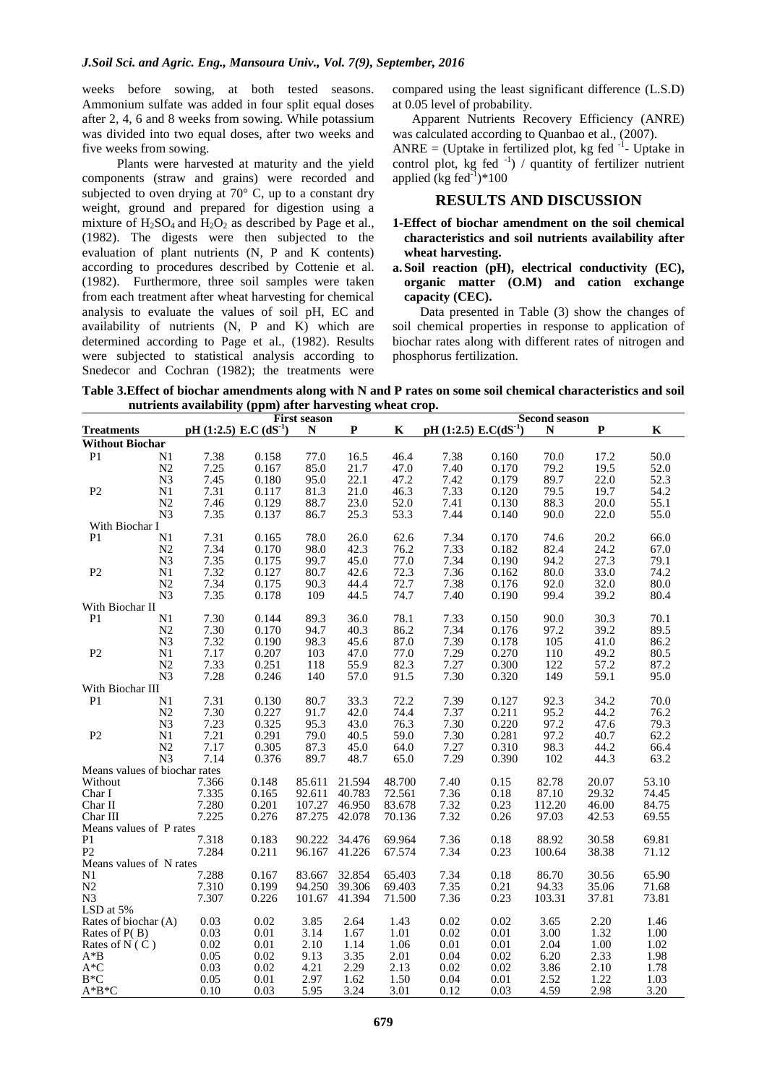weeks before sowing, at both tested seasons. Ammonium sulfate was added in four split equal doses after 2, 4, 6 and 8 weeks from sowing. While potassium was divided into two equal doses, after two weeks and five weeks from sowing.

Plants were harvested at maturity and the yield components (straw and grains) were recorded and subjected to oven drying at  $70^{\circ}$  C, up to a constant dry weight, ground and prepared for digestion using a mixture of  $H_2SO_4$  and  $H_2O_2$  as described by Page et al., (1982). The digests were then subjected to the evaluation of plant nutrients (N, P and K contents) according to procedures described by Cottenie et al. (1982). Furthermore, three soil samples were taken from each treatment after wheat harvesting for chemical analysis to evaluate the values of soil pH, EC and availability of nutrients (N, P and K) which are determined according to Page et al., (1982). Results were subjected to statistical analysis according to Snedecor and Cochran (1982); the treatments were compared using the least significant difference (L.S.D) at 0.05 level of probability.

 Apparent Nutrients Recovery Efficiency (ANRE) was calculated according to Quanbao et al., (2007).  $ANRE = (Update in fertilized plot, kg fed<sup>-1</sup> - Optake in$ control plot, kg fed  $^{-1}$ ) / quantity of fertilizer nutrient applied (kg fed $^{-1}$ )\*100

### **RESULTS AND DISCUSSION**

- **1-Effect of biochar amendment on the soil chemical characteristics and soil nutrients availability after wheat harvesting.**
- **a. Soil reaction (pH), electrical conductivity (EC), organic matter (O.M) and cation exchange capacity (CEC).**

Data presented in Table (3) show the changes of soil chemical properties in response to application of biochar rates along with different rates of nitrogen and phosphorus fertilization.

**Table 3.Effect of biochar amendments along with N and P rates on some soil chemical characteristics and soil nutrients availability (ppm) after harvesting wheat crop.**

|                                         |                |                              |       | <b>First season</b> |           | <b>Second season</b> |                                     |       |        |       |       |
|-----------------------------------------|----------------|------------------------------|-------|---------------------|-----------|----------------------|-------------------------------------|-------|--------|-------|-------|
| <b>Treatments</b>                       |                | pH $(1:2.5)$ E.C $(dS^{-1})$ |       | N                   | ${\bf P}$ | K                    | pH $(1:2.5)$ E.C(dS <sup>-1</sup> ) |       | N      | P     | K     |
| <b>Without Biochar</b>                  |                |                              |       |                     |           |                      |                                     |       |        |       |       |
| P <sub>1</sub>                          | N1             | 7.38                         | 0.158 | 77.0                | 16.5      | 46.4                 | 7.38                                | 0.160 | 70.0   | 17.2  | 50.0  |
|                                         | N <sub>2</sub> | 7.25                         | 0.167 | 85.0                | 21.7      | 47.0                 | 7.40                                | 0.170 | 79.2   | 19.5  | 52.0  |
|                                         | N <sub>3</sub> | 7.45                         | 0.180 | 95.0                | 22.1      | 47.2                 | 7.42                                | 0.179 | 89.7   | 22.0  | 52.3  |
| P <sub>2</sub>                          | N1             | 7.31                         | 0.117 | 81.3                | 21.0      | 46.3                 | 7.33                                | 0.120 | 79.5   | 19.7  | 54.2  |
|                                         | N <sub>2</sub> | 7.46                         | 0.129 | 88.7                | 23.0      | 52.0                 | 7.41                                | 0.130 | 88.3   | 20.0  | 55.1  |
|                                         | N <sub>3</sub> | 7.35                         | 0.137 | 86.7                | 25.3      | 53.3                 | 7.44                                | 0.140 | 90.0   | 22.0  | 55.0  |
| With Biochar I                          |                |                              |       |                     |           |                      |                                     |       |        |       |       |
| P <sub>1</sub>                          | N1             | 7.31                         | 0.165 | 78.0                | 26.0      | 62.6                 | 7.34                                | 0.170 | 74.6   | 20.2  | 66.0  |
|                                         | N <sub>2</sub> | 7.34                         | 0.170 | 98.0                | 42.3      | 76.2                 | 7.33                                | 0.182 | 82.4   | 24.2  | 67.0  |
|                                         | N <sub>3</sub> | 7.35                         | 0.175 | 99.7                | 45.0      | 77.0                 | 7.34                                | 0.190 | 94.2   | 27.3  | 79.1  |
| P <sub>2</sub>                          | N1             | 7.32                         | 0.127 | 80.7                | 42.6      |                      | 7.36                                |       | 80.0   | 33.0  | 74.2  |
|                                         |                |                              |       |                     |           | 72.3                 |                                     | 0.162 |        |       |       |
|                                         | N <sub>2</sub> | 7.34                         | 0.175 | 90.3                | 44.4      | 72.7                 | 7.38                                | 0.176 | 92.0   | 32.0  | 80.0  |
|                                         | N <sub>3</sub> | 7.35                         | 0.178 | 109                 | 44.5      | 74.7                 | 7.40                                | 0.190 | 99.4   | 39.2  | 80.4  |
| With Biochar II                         |                |                              |       |                     |           |                      |                                     |       |        |       |       |
| P <sub>1</sub>                          | N1             | 7.30                         | 0.144 | 89.3                | 36.0      | 78.1                 | 7.33                                | 0.150 | 90.0   | 30.3  | 70.1  |
|                                         | N <sub>2</sub> | 7.30                         | 0.170 | 94.7                | 40.3      | 86.2                 | 7.34                                | 0.176 | 97.2   | 39.2  | 89.5  |
|                                         | N <sub>3</sub> | 7.32                         | 0.190 | 98.3                | 45.6      | 87.0                 | 7.39                                | 0.178 | 105    | 41.0  | 86.2  |
| P <sub>2</sub>                          | N1             | 7.17                         | 0.207 | 103                 | 47.0      | 77.0                 | 7.29                                | 0.270 | 110    | 49.2  | 80.5  |
|                                         | N <sub>2</sub> | 7.33                         | 0.251 | 118                 | 55.9      | 82.3                 | 7.27                                | 0.300 | 122    | 57.2  | 87.2  |
|                                         | N <sub>3</sub> | 7.28                         | 0.246 | 140                 | 57.0      | 91.5                 | 7.30                                | 0.320 | 149    | 59.1  | 95.0  |
| With Biochar III                        |                |                              |       |                     |           |                      |                                     |       |        |       |       |
| P <sub>1</sub>                          | N1             | 7.31                         | 0.130 | 80.7                | 33.3      | 72.2                 | 7.39                                | 0.127 | 92.3   | 34.2  | 70.0  |
|                                         | N <sub>2</sub> | 7.30                         | 0.227 | 91.7                | 42.0      | 74.4                 | 7.37                                | 0.211 | 95.2   | 44.2  | 76.2  |
|                                         | N <sub>3</sub> | 7.23                         | 0.325 | 95.3                | 43.0      | 76.3                 | 7.30                                | 0.220 | 97.2   | 47.6  | 79.3  |
| P <sub>2</sub>                          | N1             | 7.21                         | 0.291 | 79.0                | 40.5      | 59.0                 | 7.30                                | 0.281 | 97.2   | 40.7  | 62.2  |
|                                         | N2             | 7.17                         | 0.305 | 87.3                | 45.0      | 64.0                 | 7.27                                | 0.310 | 98.3   | 44.2  | 66.4  |
|                                         | N <sub>3</sub> | 7.14                         | 0.376 | 89.7                | 48.7      | 65.0                 | 7.29                                | 0.390 | 102    | 44.3  | 63.2  |
| Means values of biochar rates           |                |                              |       |                     |           |                      |                                     |       |        |       |       |
| Without                                 |                | 7.366                        | 0.148 | 85.611              | 21.594    | 48.700               | 7.40                                | 0.15  | 82.78  | 20.07 | 53.10 |
| Char I                                  |                | 7.335                        | 0.165 | 92.611              | 40.783    | 72.561               | 7.36                                | 0.18  | 87.10  | 29.32 | 74.45 |
| Char II                                 |                | 7.280                        | 0.201 | 107.27              | 46.950    | 83.678               | 7.32                                | 0.23  | 112.20 | 46.00 | 84.75 |
| Char III                                |                | 7.225                        | 0.276 | 87.275              | 42.078    | 70.136               | 7.32                                | 0.26  | 97.03  | 42.53 | 69.55 |
| Means values of P rates                 |                |                              |       |                     |           |                      |                                     |       |        |       |       |
| P <sub>1</sub>                          |                | 7.318                        | 0.183 | 90.222              | 34.476    | 69.964               | 7.36                                | 0.18  | 88.92  | 30.58 | 69.81 |
| P <sub>2</sub>                          |                | 7.284                        | 0.211 | 96.167              | 41.226    | 67.574               | 7.34                                | 0.23  | 100.64 | 38.38 | 71.12 |
| Means values of N rates                 |                |                              |       |                     |           |                      |                                     |       |        |       |       |
| N1                                      |                | 7.288                        | 0.167 | 83.667              | 32.854    | 65.403               | 7.34                                | 0.18  | 86.70  | 30.56 | 65.90 |
| N <sub>2</sub>                          |                | 7.310                        | 0.199 | 94.250              | 39.306    | 69.403               | 7.35                                | 0.21  | 94.33  | 35.06 | 71.68 |
| N <sub>3</sub>                          |                | 7.307                        | 0.226 | 101.67              | 41.394    | 71.500               | 7.36                                | 0.23  | 103.31 | 37.81 | 73.81 |
| LSD at 5%                               |                |                              |       |                     |           |                      |                                     |       |        |       |       |
|                                         |                | 0.03                         | 0.02  | 3.85                | 2.64      | 1.43                 | 0.02                                | 0.02  | 3.65   | 2.20  | 1.46  |
| Rates of biochar (A)<br>Rates of $P(B)$ |                | 0.03                         | 0.01  | 3.14                | 1.67      | 1.01                 | 0.02                                | 0.01  | 3.00   | 1.32  | 1.00  |
|                                         |                |                              |       |                     |           |                      |                                     |       |        |       |       |
| Rates of $N(C)$                         |                | 0.02                         | 0.01  | 2.10                | 1.14      | 1.06                 | 0.01                                | 0.01  | 2.04   | 1.00  | 1.02  |
| $A*B$                                   |                | 0.05                         | 0.02  | 9.13                | 3.35      | 2.01                 | 0.04                                | 0.02  | 6.20   | 2.33  | 1.98  |
| $A*C$                                   |                | 0.03                         | 0.02  | 4.21                | 2.29      | 2.13                 | 0.02                                | 0.02  | 3.86   | 2.10  | 1.78  |
| $B*C$                                   |                | 0.05                         | 0.01  | 2.97                | 1.62      | 1.50                 | 0.04                                | 0.01  | 2.52   | 1.22  | 1.03  |
| $A*B*C$                                 |                | 0.10                         | 0.03  | 5.95                | 3.24      | 3.01                 | 0.12                                | 0.03  | 4.59   | 2.98  | 3.20  |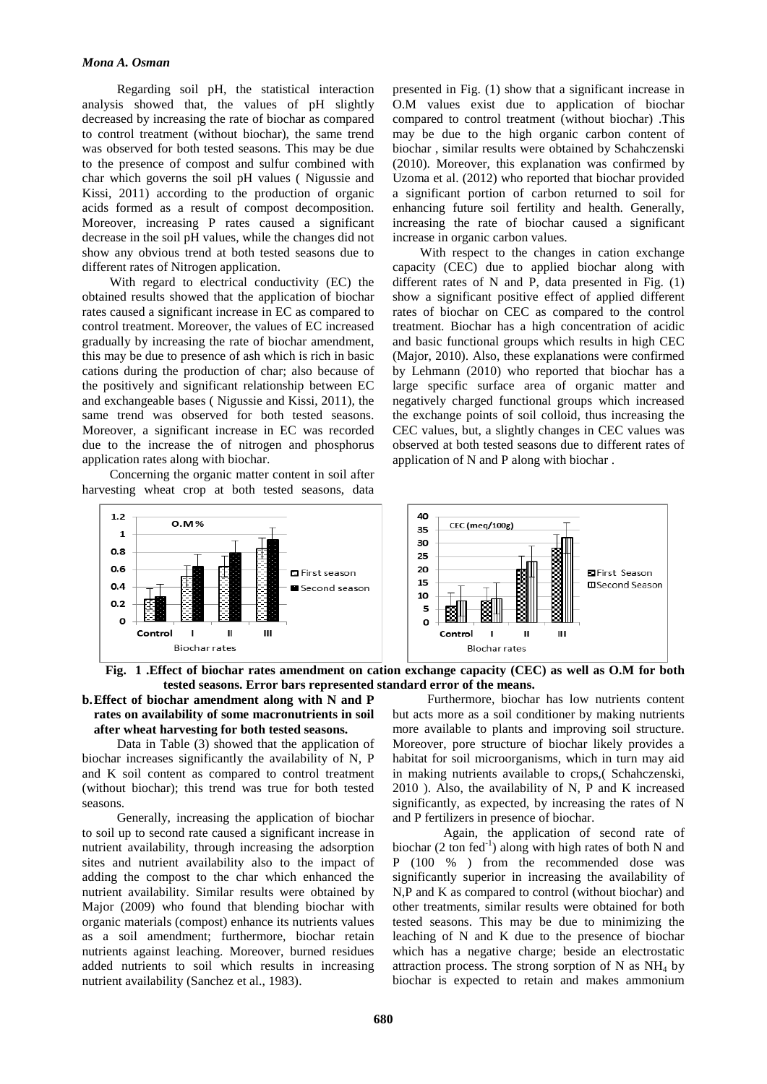Regarding soil pH, the statistical interaction analysis showed that, the values of pH slightly decreased by increasing the rate of biochar as compared to control treatment (without biochar), the same trend was observed for both tested seasons. This may be due to the presence of compost and sulfur combined with char which governs the soil pH values ( Nigussie and Kissi, 2011) according to the production of organic acids formed as a result of compost decomposition. Moreover, increasing P rates caused a significant decrease in the soil pH values, while the changes did not show any obvious trend at both tested seasons due to different rates of Nitrogen application.

With regard to electrical conductivity (EC) the obtained results showed that the application of biochar rates caused a significant increase in EC as compared to control treatment. Moreover, the values of EC increased gradually by increasing the rate of biochar amendment, this may be due to presence of ash which is rich in basic cations during the production of char; also because of the positively and significant relationship between EC and exchangeable bases ( Nigussie and Kissi, 2011), the same trend was observed for both tested seasons. Moreover, a significant increase in EC was recorded due to the increase the of nitrogen and phosphorus application rates along with biochar.

Concerning the organic matter content in soil after harvesting wheat crop at both tested seasons, data



presented in Fig. (1) show that a significant increase in O.M values exist due to application of biochar compared to control treatment (without biochar) .This may be due to the high organic carbon content of biochar , similar results were obtained by Schahczenski (2010). Moreover, this explanation was confirmed by Uzoma et al. (2012) who reported that biochar provided a significant portion of carbon returned to soil for enhancing future soil fertility and health. Generally, increasing the rate of biochar caused a significant increase in organic carbon values.

With respect to the changes in cation exchange capacity (CEC) due to applied biochar along with different rates of N and P, data presented in Fig. (1) show a significant positive effect of applied different rates of biochar on CEC as compared to the control treatment. Biochar has a high concentration of acidic and basic functional groups which results in high CEC (Major, 2010). Also, these explanations were confirmed by Lehmann (2010) who reported that biochar has a large specific surface area of organic matter and negatively charged functional groups which increased the exchange points of soil colloid, thus increasing the CEC values, but, a slightly changes in CEC values was observed at both tested seasons due to different rates of application of N and P along with biochar .



 **Fig. 1 .Effect of biochar rates amendment on cation exchange capacity (CEC) as well as O.M for both tested seasons. Error bars represented standard error of the means.**

### **b.Effect of biochar amendment along with N and P rates on availability of some macronutrients in soil after wheat harvesting for both tested seasons.**

Data in Table (3) showed that the application of biochar increases significantly the availability of N, P and K soil content as compared to control treatment (without biochar); this trend was true for both tested seasons.

Generally, increasing the application of biochar to soil up to second rate caused a significant increase in nutrient availability, through increasing the adsorption sites and nutrient availability also to the impact of adding the compost to the char which enhanced the nutrient availability. Similar results were obtained by Major (2009) who found that blending biochar with organic materials (compost) enhance its nutrients values as a soil amendment; furthermore, biochar retain nutrients against leaching. Moreover, burned residues added nutrients to soil which results in increasing nutrient availability (Sanchez et al., 1983).

Furthermore, biochar has low nutrients content but acts more as a soil conditioner by making nutrients more available to plants and improving soil structure. Moreover, pore structure of biochar likely provides a habitat for soil microorganisms, which in turn may aid in making nutrients available to crops,( Schahczenski, 2010 ). Also, the availability of N, P and K increased significantly, as expected, by increasing the rates of N and P fertilizers in presence of biochar.

 Again, the application of second rate of biochar  $(2 \text{ ton fed}^{-1})$  along with high rates of both N and P (100 % ) from the recommended dose was significantly superior in increasing the availability of N,P and K as compared to control (without biochar) and other treatments, similar results were obtained for both tested seasons. This may be due to minimizing the leaching of N and K due to the presence of biochar which has a negative charge; beside an electrostatic attraction process. The strong sorption of N as  $NH_4$  by biochar is expected to retain and makes ammonium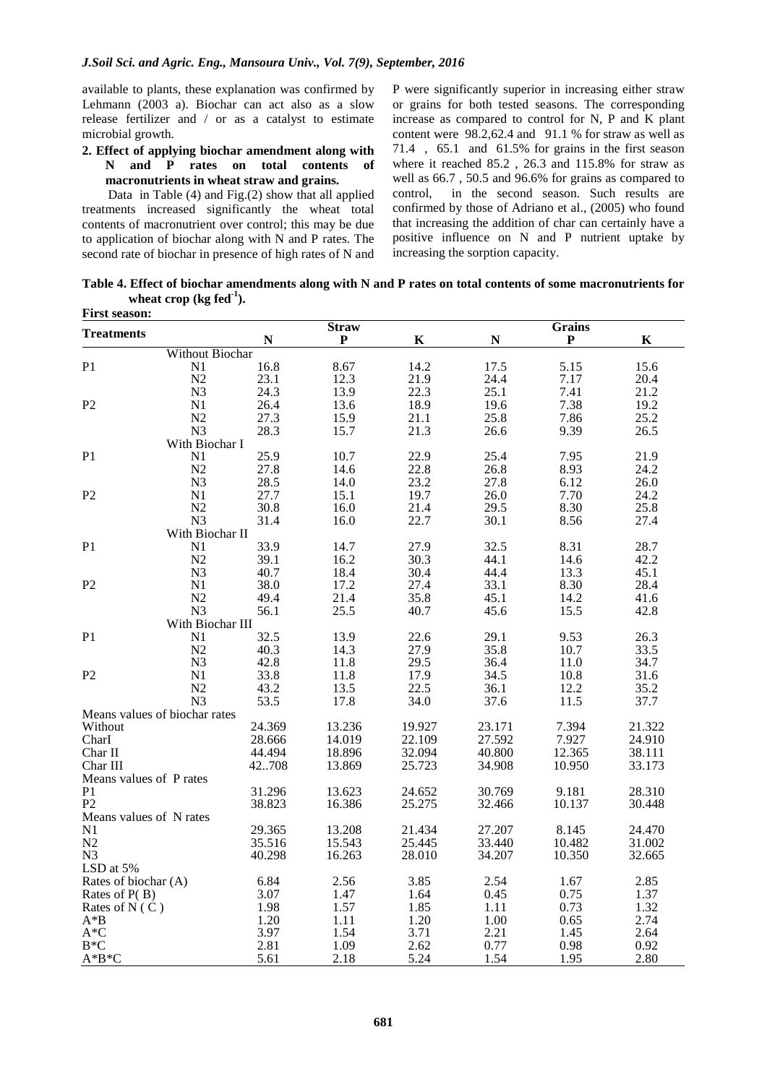available to plants, these explanation was confirmed by Lehmann (2003 a). Biochar can act also as a slow release fertilizer and / or as a catalyst to estimate microbial growth.

### **2. Effect of applying biochar amendment along with N and P rates on total contents of macronutrients in wheat straw and grains.**

 Data in Table (4) and Fig.(2) show that all applied treatments increased significantly the wheat total contents of macronutrient over control; this may be due to application of biochar along with N and P rates. The second rate of biochar in presence of high rates of N and P were significantly superior in increasing either straw or grains for both tested seasons. The corresponding increase as compared to control for N, P and K plant content were 98.2,62.4 and 91.1 % for straw as well as 71.4 , 65.1 and 61.5% for grains in the first season where it reached 85.2 , 26.3 and 115.8% for straw as well as 66.7 , 50.5 and 96.6% for grains as compared to control, in the second season. Such results are confirmed by those of Adriano et al., (2005) who found that increasing the addition of char can certainly have a positive influence on N and P nutrient uptake by increasing the sorption capacity.

**Table 4. Effect of biochar amendments along with N and P rates on total contents of some macronutrients for**  wheat crop (kg fed<sup>-1</sup>). **First season:**

|                         |                               |        | <b>Straw</b> |             | <b>Grains</b> |        |             |  |
|-------------------------|-------------------------------|--------|--------------|-------------|---------------|--------|-------------|--|
| Treatments              |                               | N      | P            | $\mathbf K$ | N             | P      | $\mathbf K$ |  |
|                         | <b>Without Biochar</b>        |        |              |             |               |        |             |  |
| P <sub>1</sub>          | N1                            | 16.8   | 8.67         | 14.2        | 17.5          | 5.15   | 15.6        |  |
|                         | N2                            | 23.1   | 12.3         | 21.9        | 24.4          | 7.17   | 20.4        |  |
|                         | N <sub>3</sub>                | 24.3   | 13.9         | 22.3        | 25.1          | 7.41   | 21.2        |  |
| P <sub>2</sub>          | N1                            | 26.4   | 13.6         | 18.9        | 19.6          | 7.38   | 19.2        |  |
|                         | N <sub>2</sub>                | 27.3   | 15.9         | 21.1        | 25.8          | 7.86   | 25.2        |  |
|                         | N <sub>3</sub>                | 28.3   | 15.7         | 21.3        | 26.6          | 9.39   | 26.5        |  |
|                         | With Biochar I                |        |              |             |               |        |             |  |
| P <sub>1</sub>          | N1                            | 25.9   | 10.7         | 22.9        | 25.4          | 7.95   | 21.9        |  |
|                         | N <sub>2</sub>                | 27.8   | 14.6         | 22.8        | 26.8          | 8.93   | 24.2        |  |
|                         | N <sub>3</sub>                | 28.5   | 14.0         | 23.2        | 27.8          | 6.12   | 26.0        |  |
| P2                      | N1                            | 27.7   | 15.1         | 19.7        | 26.0          | 7.70   | 24.2        |  |
|                         | N2                            | 30.8   | 16.0         | 21.4        | 29.5          | 8.30   | 25.8        |  |
|                         | N <sub>3</sub>                | 31.4   | 16.0         | 22.7        | 30.1          | 8.56   | 27.4        |  |
|                         | With Biochar II               |        |              |             |               |        |             |  |
| P <sub>1</sub>          | N1                            | 33.9   | 14.7         | 27.9        | 32.5          | 8.31   | 28.7        |  |
|                         | N2                            | 39.1   | 16.2         | 30.3        | 44.1          | 14.6   | 42.2        |  |
|                         | N <sub>3</sub>                | 40.7   | 18.4         | 30.4        | 44.4          | 13.3   | 45.1        |  |
| P <sub>2</sub>          | N1                            | 38.0   | 17.2         | 27.4        | 33.1          | 8.30   | 28.4        |  |
|                         | N <sub>2</sub>                | 49.4   | 21.4         | 35.8        | 45.1          | 14.2   | 41.6        |  |
|                         | N <sub>3</sub>                | 56.1   | 25.5         | 40.7        | 45.6          | 15.5   | 42.8        |  |
|                         | With Biochar III              |        |              |             |               |        |             |  |
| P <sub>1</sub>          | N1                            | 32.5   | 13.9         | 22.6        | 29.1          | 9.53   | 26.3        |  |
|                         | N2                            | 40.3   | 14.3         | 27.9        | 35.8          | 10.7   | 33.5        |  |
|                         | N3                            | 42.8   | 11.8         | 29.5        | 36.4          | 11.0   | 34.7        |  |
| P2                      | N1                            | 33.8   | 11.8         | 17.9        | 34.5          | 10.8   | 31.6        |  |
|                         | N2                            | 43.2   | 13.5         | 22.5        | 36.1          | 12.2   | 35.2        |  |
|                         | N <sub>3</sub>                | 53.5   | 17.8         | 34.0        | 37.6          | 11.5   | 37.7        |  |
|                         | Means values of biochar rates |        |              |             |               |        |             |  |
| Without                 |                               | 24.369 | 13.236       | 19.927      | 23.171        | 7.394  | 21.322      |  |
| Charl                   |                               | 28.666 | 14.019       | 22.109      | 27.592        | 7.927  | 24.910      |  |
| Char II                 |                               | 44.494 | 18.896       | 32.094      | 40.800        | 12.365 | 38.111      |  |
| Char III                |                               | 42708  | 13.869       | 25.723      | 34.908        | 10.950 | 33.173      |  |
| Means values of P rates |                               |        |              |             |               |        |             |  |
| P <sub>1</sub>          |                               | 31.296 | 13.623       | 24.652      | 30.769        | 9.181  | 28.310      |  |
| P2                      |                               | 38.823 | 16.386       | 25.275      | 32.466        | 10.137 | 30.448      |  |
| Means values of N rates |                               |        |              |             |               |        |             |  |
| N1                      |                               | 29.365 | 13.208       | 21.434      | 27.207        | 8.145  | 24.470      |  |
| N2                      |                               | 35.516 | 15.543       | 25.445      | 33.440        | 10.482 | 31.002      |  |
| N <sub>3</sub>          |                               | 40.298 | 16.263       | 28.010      | 34.207        | 10.350 | 32.665      |  |
| LSD at 5%               |                               |        |              |             |               |        |             |  |
| Rates of biochar (A)    |                               | 6.84   | 2.56         | 3.85        | 2.54          | 1.67   | 2.85        |  |
| Rates of $P(B)$         |                               | 3.07   | 1.47         | 1.64        | 0.45          | 0.75   | 1.37        |  |
| Rates of $N(C)$         |                               | 1.98   | 1.57         | 1.85        | 1.11          | 0.73   | 1.32        |  |
| $A^*B$                  |                               | 1.20   | 1.11         | 1.20        | 1.00          | 0.65   | 2.74        |  |
| $A*C$                   |                               | 3.97   | 1.54         | 3.71        | 2.21          | 1.45   | 2.64        |  |
| B*C                     |                               | 2.81   | 1.09         | 2.62        | 0.77          | 0.98   | 0.92        |  |
| $A*B*C$                 |                               | 5.61   | 2.18         | 5.24        | 1.54          | 1.95   | 2.80        |  |
|                         |                               |        |              |             |               |        |             |  |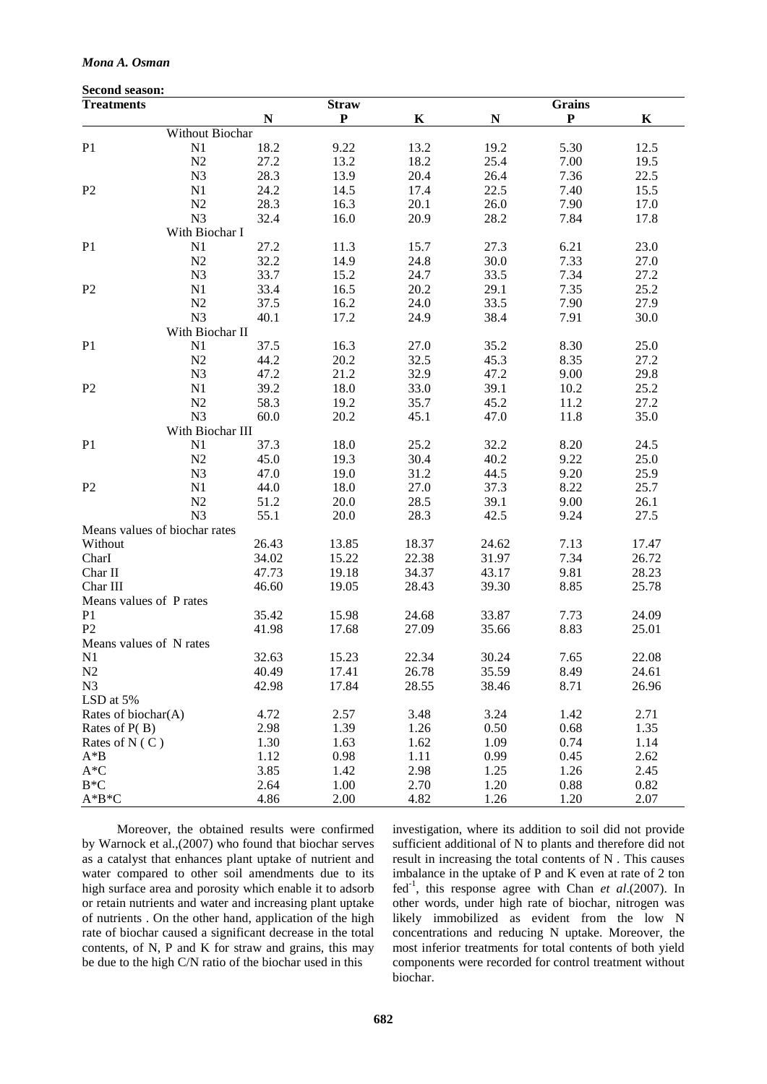# **Second season:**

| <b>Treatments</b>       |                               |             | <b>Straw</b> |             |           | <b>Grains</b> |             |
|-------------------------|-------------------------------|-------------|--------------|-------------|-----------|---------------|-------------|
|                         |                               | $\mathbf N$ | ${\bf P}$    | $\mathbf K$ | ${\bf N}$ | ${\bf P}$     | $\mathbf K$ |
|                         | Without Biochar               |             |              |             |           |               |             |
| P <sub>1</sub>          | N1                            | 18.2        | 9.22         | 13.2        | 19.2      | 5.30          | 12.5        |
|                         | N2                            | 27.2        | 13.2         | 18.2        | 25.4      | 7.00          | 19.5        |
|                         | N <sub>3</sub>                | 28.3        | 13.9         | 20.4        | 26.4      | 7.36          | 22.5        |
| P <sub>2</sub>          | N <sub>1</sub>                | 24.2        | 14.5         | 17.4        | 22.5      | 7.40          | 15.5        |
|                         | N2                            | 28.3        | 16.3         | 20.1        | 26.0      | 7.90          | 17.0        |
|                         | N3                            | 32.4        | 16.0         | 20.9        | 28.2      | 7.84          | 17.8        |
|                         | With Biochar I                |             |              |             |           |               |             |
| P <sub>1</sub>          | N1                            | 27.2        | 11.3         | 15.7        | 27.3      | 6.21          | 23.0        |
|                         | N2                            | 32.2        | 14.9         | 24.8        | 30.0      | 7.33          | 27.0        |
|                         | N <sub>3</sub>                | 33.7        | 15.2         | 24.7        | 33.5      | 7.34          | 27.2        |
| P <sub>2</sub>          | N1                            | 33.4        | 16.5         | 20.2        | 29.1      | 7.35          | 25.2        |
|                         | N2                            | 37.5        | 16.2         | 24.0        | 33.5      | 7.90          | 27.9        |
|                         | N3                            | 40.1        | 17.2         | 24.9        | 38.4      | 7.91          | 30.0        |
|                         | With Biochar II               |             |              |             |           |               |             |
| P <sub>1</sub>          | N1                            | 37.5        | 16.3         | 27.0        | 35.2      | 8.30          | 25.0        |
|                         | N2                            | 44.2        | 20.2         | 32.5        | 45.3      | 8.35          | 27.2        |
|                         | N <sub>3</sub>                | 47.2        | 21.2         | 32.9        | 47.2      | 9.00          | 29.8        |
| P <sub>2</sub>          | N1                            | 39.2        | 18.0         | 33.0        | 39.1      | 10.2          | 25.2        |
|                         | N2                            | 58.3        | 19.2         | 35.7        | 45.2      | 11.2          | 27.2        |
|                         | N <sub>3</sub>                | 60.0        | 20.2         | 45.1        | 47.0      | 11.8          | 35.0        |
|                         | With Biochar III              |             |              |             |           |               |             |
| P <sub>1</sub>          | N1                            | 37.3        | 18.0         | 25.2        | 32.2      | 8.20          | 24.5        |
|                         | N2                            | 45.0        | 19.3         | 30.4        | 40.2      | 9.22          | 25.0        |
|                         | N <sub>3</sub>                | 47.0        | 19.0         | 31.2        | 44.5      | 9.20          | 25.9        |
| P <sub>2</sub>          | N1                            | 44.0        | 18.0         | 27.0        | 37.3      | 8.22          | 25.7        |
|                         | N2                            | 51.2        | 20.0         | 28.5        | 39.1      | 9.00          | 26.1        |
|                         | N <sub>3</sub>                | 55.1        | 20.0         | 28.3        | 42.5      | 9.24          | 27.5        |
|                         | Means values of biochar rates |             |              |             |           |               |             |
| Without                 |                               | 26.43       | 13.85        | 18.37       | 24.62     | 7.13          | 17.47       |
| Charl                   |                               | 34.02       | 15.22        | 22.38       | 31.97     | 7.34          | 26.72       |
| Char II                 |                               | 47.73       | 19.18        | 34.37       | 43.17     | 9.81          | 28.23       |
| Char III                |                               | 46.60       | 19.05        | 28.43       | 39.30     | 8.85          | 25.78       |
| Means values of P rates |                               |             |              |             |           |               |             |
| P <sub>1</sub>          |                               | 35.42       | 15.98        | 24.68       | 33.87     | 7.73          | 24.09       |
| P <sub>2</sub>          |                               | 41.98       | 17.68        | 27.09       | 35.66     | 8.83          | 25.01       |
| Means values of N rates |                               |             |              |             |           |               |             |
| N <sub>1</sub>          |                               | 32.63       | 15.23        | 22.34       | 30.24     | 7.65          | 22.08       |
| N2                      |                               | 40.49       | 17.41        | 26.78       | 35.59     | 8.49          | 24.61       |
| N <sub>3</sub>          |                               | 42.98       | 17.84        | 28.55       | 38.46     | 8.71          | 26.96       |
| LSD at 5%               |                               |             |              |             |           |               |             |
| Rates of biochar(A)     |                               | 4.72        | 2.57         | 3.48        | 3.24      | 1.42          | 2.71        |
| Rates of $P(B)$         |                               | 2.98        | 1.39         | 1.26        | 0.50      | 0.68          | 1.35        |
| Rates of $N(C)$         |                               | 1.30        | 1.63         | 1.62        | 1.09      | 0.74          | 1.14        |
| $A^*B$                  |                               | 1.12        | 0.98         | 1.11        | 0.99      | 0.45          | 2.62        |
| $A*C$                   |                               | 3.85        | 1.42         | 2.98        | 1.25      | 1.26          | 2.45        |
| $B*C$                   |                               | 2.64        | 1.00         | 2.70        | 1.20      | 0.88          | 0.82        |
| $A*B*C$                 |                               | 4.86        | 2.00         | 4.82        | 1.26      | 1.20          | 2.07        |
|                         |                               |             |              |             |           |               |             |

Moreover, the obtained results were confirmed by Warnock et al.,(2007) who found that biochar serves as a catalyst that enhances plant uptake of nutrient and water compared to other soil amendments due to its high surface area and porosity which enable it to adsorb or retain nutrients and water and increasing plant uptake of nutrients . On the other hand, application of the high rate of biochar caused a significant decrease in the total contents, of N, P and K for straw and grains, this may be due to the high C/N ratio of the biochar used in this

investigation, where its addition to soil did not provide sufficient additional of N to plants and therefore did not result in increasing the total contents of N . This causes imbalance in the uptake of P and K even at rate of 2 ton fed-1 , this response agree with Chan *et al*.(2007). In other words, under high rate of biochar, nitrogen was likely immobilized as evident from the low N concentrations and reducing N uptake. Moreover, the most inferior treatments for total contents of both yield components were recorded for control treatment without biochar.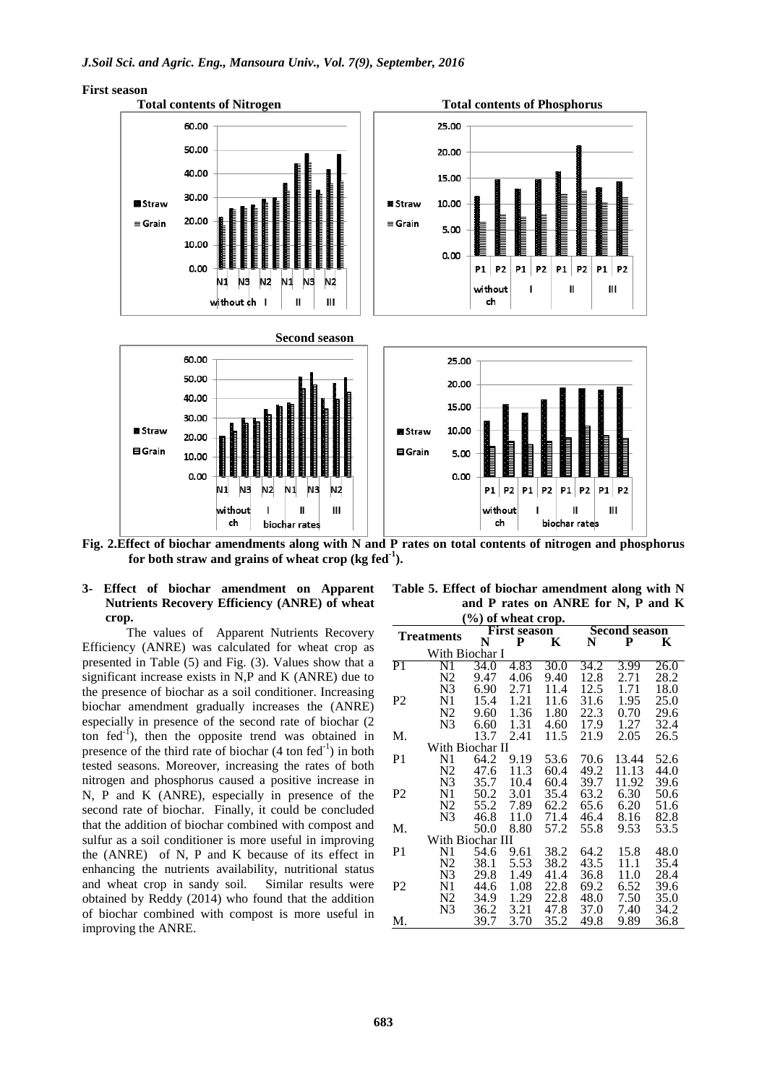#### **First season**



**for both straw and grains of wheat crop (kg fed-1 ).**

### **3- Effect of biochar amendment on Apparent Nutrients Recovery Efficiency (ANRE) of wheat crop.**

 The values of Apparent Nutrients Recovery Efficiency (ANRE) was calculated for wheat crop as presented in Table (5) and Fig. (3). Values show that a significant increase exists in N,P and K (ANRE) due to the presence of biochar as a soil conditioner. Increasing biochar amendment gradually increases the (ANRE) especially in presence of the second rate of biochar (2 ton fed $^{-1}$ ), then the opposite trend was obtained in presence of the third rate of biochar  $(4 \text{ ton fed}^{-1})$  in both tested seasons. Moreover, increasing the rates of both nitrogen and phosphorus caused a positive increase in N, P and K (ANRE), especially in presence of the second rate of biochar. Finally, it could be concluded that the addition of biochar combined with compost and sulfur as a soil conditioner is more useful in improving the (ANRE) of N, P and K because of its effect in enhancing the nutrients availability, nutritional status and wheat crop in sandy soil. Similar results were obtained by Reddy (2014) who found that the addition of biochar combined with compost is more useful in improving the ANRE.

**Table 5. Effect of biochar amendment along with N and P rates on ANRE for N, P and K (%) of wheat crop.**

|                 |                   |      | $(70)$ or wheat evep.<br><b>First season</b> |      | <b>Second season</b> |       |      |  |
|-----------------|-------------------|------|----------------------------------------------|------|----------------------|-------|------|--|
|                 | <b>Treatments</b> | N    | P                                            | K    | N                    | P     | K    |  |
|                 | With Biochar I    |      |                                              |      |                      |       |      |  |
| $\overline{P1}$ | N1                | 34.0 | 4.83                                         | 30.0 | 34.2                 | 3.99  | 26.0 |  |
|                 | N <sub>2</sub>    | 9.47 | 4.06                                         | 9.40 | 12.8                 | 2.71  | 28.2 |  |
|                 | N3                | 6.90 | 2.71                                         | 11.4 | 12.5                 | 1.71  | 18.0 |  |
| P <sub>2</sub>  | N1                | 15.4 | 1.21                                         | 11.6 | 31.6                 | 1.95  | 25.0 |  |
|                 | N <sub>2</sub>    | 9.60 | 1.36                                         | 1.80 | 22.3                 | 0.70  | 29.6 |  |
|                 | N3                | 6.60 | 1.31                                         | 4.60 | 17.9                 | 1.27  | 32.4 |  |
| M.              |                   | 13.7 | 2.41                                         | 11.5 | 21.9                 | 2.05  | 26.5 |  |
|                 | With Biochar II   |      |                                              |      |                      |       |      |  |
| P <sub>1</sub>  | N1                | 64.2 | 9.19                                         | 53.6 | 70.6                 | 13.44 | 52.6 |  |
|                 | N <sub>2</sub>    | 47.6 | 11.3                                         | 60.4 | 49.2                 | 11.13 | 44.0 |  |
|                 | N <sub>3</sub>    | 35.7 | 10.4                                         | 60.4 | 39.7                 | 11.92 | 39.6 |  |
| P <sub>2</sub>  | N1                | 50.2 | 3.01                                         | 35.4 | 63.2                 | 6.30  | 50.6 |  |
|                 | N <sub>2</sub>    | 55.2 | 7.89                                         | 62.2 | 65.6                 | 6.20  | 51.6 |  |
|                 | N <sub>3</sub>    | 46.8 | 11.0                                         | 71.4 | 46.4                 | 8.16  | 82.8 |  |
| M.              |                   | 50.0 | 8.80                                         | 57.2 | 55.8                 | 9.53  | 53.5 |  |
|                 | With Biochar III  |      |                                              |      |                      |       |      |  |
| P <sub>1</sub>  | N1                | 54.6 | 9.61                                         | 38.2 | 64.2                 | 15.8  | 48.0 |  |
|                 | N <sub>2</sub>    | 38.1 | 5.53                                         | 38.2 | 43.5                 | 11.1  | 35.4 |  |
|                 | N <sub>3</sub>    | 29.8 | 1.49                                         | 41.4 | 36.8                 | 11.0  | 28.4 |  |
| P <sub>2</sub>  | N1                | 44.6 | 1.08                                         | 22.8 | 69.2                 | 6.52  | 39.6 |  |
|                 | N <sub>2</sub>    | 34.9 | 1.29                                         | 22.8 | 48.0                 | 7.50  | 35.0 |  |
|                 | N3                | 36.2 | 3.21                                         | 47.8 | 37.0                 | 7.40  | 34.2 |  |
| М.              |                   | 39.7 | 3.70                                         | 35.2 | 49.8                 | 9.89  | 36.8 |  |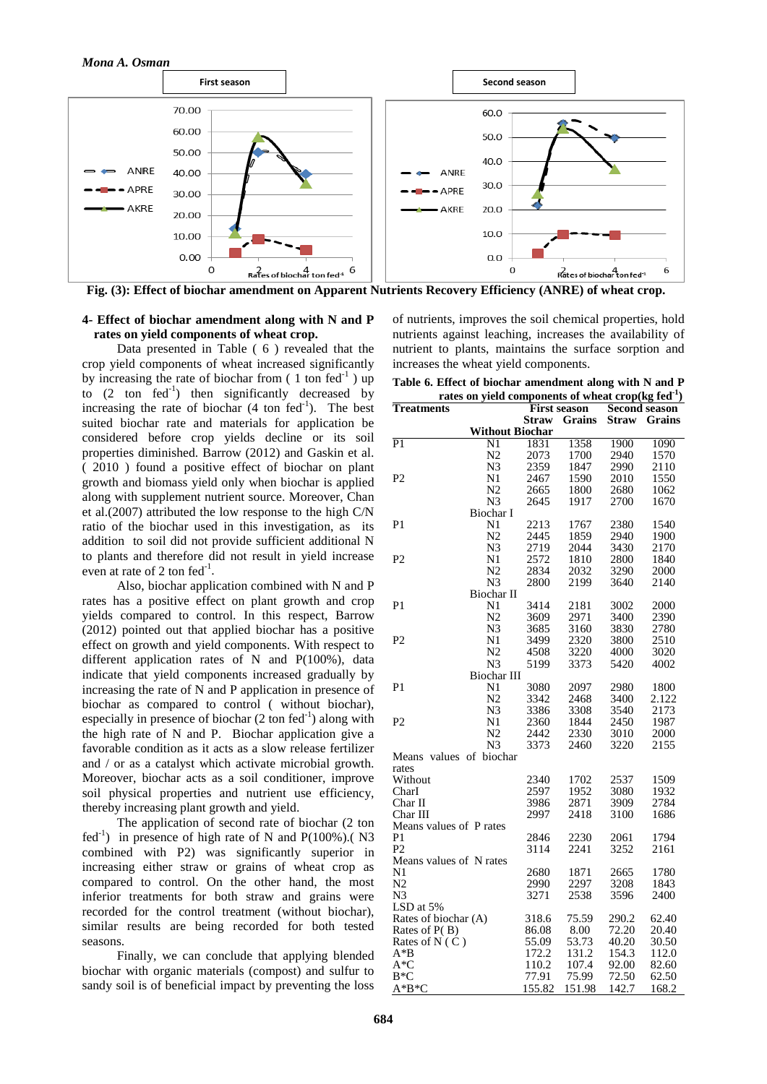

### **4- Effect of biochar amendment along with N and P rates on yield components of wheat crop.**

Data presented in Table ( 6 ) revealed that the crop yield components of wheat increased significantly by increasing the rate of biochar from  $(1 \text{ ton fed}^{-1})$  up to  $(2 \text{ ton } \text{fed}^{-1})$  then significantly decreased by increasing the rate of biochar  $(4 \text{ ton fed}^{-1})$ . The best suited biochar rate and materials for application be considered before crop yields decline or its soil properties diminished. Barrow (2012) and Gaskin et al. ( 2010 ) found a positive effect of biochar on plant growth and biomass yield only when biochar is applied along with supplement nutrient source. Moreover, Chan et al.(2007) attributed the low response to the high C/N ratio of the biochar used in this investigation, as its addition to soil did not provide sufficient additional N to plants and therefore did not result in yield increase even at rate of 2 ton  $\text{fed}^{-1}$ .

Also, biochar application combined with N and P rates has a positive effect on plant growth and crop yields compared to control. In this respect, Barrow (2012) pointed out that applied biochar has a positive effect on growth and yield components. With respect to different application rates of N and P(100%), data indicate that yield components increased gradually by increasing the rate of N and P application in presence of biochar as compared to control ( without biochar), especially in presence of biochar  $(2 \text{ ton fed}^{-1})$  along with the high rate of N and P. Biochar application give a favorable condition as it acts as a slow release fertilizer and / or as a catalyst which activate microbial growth. Moreover, biochar acts as a soil conditioner, improve soil physical properties and nutrient use efficiency, thereby increasing plant growth and yield.

The application of second rate of biochar (2 ton fed<sup>-1</sup>) in presence of high rate of N and  $P(100\%)$ . (N3 combined with P2) was significantly superior in increasing either straw or grains of wheat crop as compared to control. On the other hand, the most inferior treatments for both straw and grains were recorded for the control treatment (without biochar), similar results are being recorded for both tested seasons.

Finally, we can conclude that applying blended biochar with organic materials (compost) and sulfur to sandy soil is of beneficial impact by preventing the loss of nutrients, improves the soil chemical properties, hold nutrients against leaching, increases the availability of nutrient to plants, maintains the surface sorption and increases the wheat yield components.

**Table 6. Effect of biochar amendment along with N and P** 

| rates on yield components of wheat $\text{crop}(\text{kg fed}^{-1})$ |                        |              |                     |                      |               |  |  |  |
|----------------------------------------------------------------------|------------------------|--------------|---------------------|----------------------|---------------|--|--|--|
| <b>Treatments</b>                                                    |                        |              | <b>First season</b> | <b>Second season</b> |               |  |  |  |
|                                                                      |                        | <b>Straw</b> | Grains              | <b>Straw</b>         | <b>Grains</b> |  |  |  |
|                                                                      | <b>Without Biochar</b> |              |                     |                      |               |  |  |  |
| P <sub>1</sub>                                                       | N1                     | 1831         | 1358                | 1900                 | 1090          |  |  |  |
|                                                                      | N2                     | 2073         | 1700                | 2940                 | 1570          |  |  |  |
|                                                                      | N3                     | 2359         | 1847                | 2990                 | 2110          |  |  |  |
| P <sub>2</sub>                                                       | N1                     | 2467         | 1590                | 2010                 | 1550          |  |  |  |
|                                                                      | N2                     | 2665         | 1800                | 2680                 | 1062          |  |  |  |
|                                                                      | N <sub>3</sub>         | 2645         | 1917                | 2700                 | 1670          |  |  |  |
|                                                                      | Biochar I              |              |                     |                      |               |  |  |  |
| P1                                                                   | N1                     | 2213         | 1767                | 2380                 | 1540          |  |  |  |
|                                                                      | N <sub>2</sub>         | 2445         | 1859                | 2940                 | 1900          |  |  |  |
|                                                                      | N <sub>3</sub>         | 2719         | 2044                | 3430                 | 2170          |  |  |  |
| P <sub>2</sub>                                                       | N1                     | 2572         | 1810                | 2800                 | 1840          |  |  |  |
|                                                                      | N <sub>2</sub>         | 2834         | 2032                | 3290                 | 2000          |  |  |  |
|                                                                      | N3                     | 2800         | 2199                | 3640                 | 2140          |  |  |  |
|                                                                      | Biochar II             |              |                     |                      |               |  |  |  |
| P1                                                                   | N1                     | 3414         | 2181                | 3002                 | 2000          |  |  |  |
|                                                                      | N <sub>2</sub>         | 3609         | 2971                | 3400                 | 2390          |  |  |  |
|                                                                      | N3                     | 3685         | 3160                | 3830                 | 2780          |  |  |  |
| P <sub>2</sub>                                                       | N1                     | 3499         | 2320                | 3800                 | 2510          |  |  |  |
|                                                                      | N <sub>2</sub>         | 4508         | 3220                | 4000                 | 3020          |  |  |  |
|                                                                      | N <sub>3</sub>         | 5199         | 3373                | 5420                 | 4002          |  |  |  |
|                                                                      | Biochar III            |              |                     |                      |               |  |  |  |
| P <sub>1</sub>                                                       | N1                     | 3080         | 2097                | 2980                 | 1800          |  |  |  |
|                                                                      | N <sub>2</sub>         | 3342         | 2468                | 3400                 | 2.122         |  |  |  |
|                                                                      | N3                     | 3386         | 3308                | 3540                 | 2173          |  |  |  |
| P <sub>2</sub>                                                       | N1                     | 2360         | 1844                | 2450                 | 1987          |  |  |  |
|                                                                      | N2                     | 2442         | 2330                | 3010                 | 2000          |  |  |  |
|                                                                      | N3                     | 3373         | 2460                | 3220                 | 2155          |  |  |  |
| Means<br>rates                                                       | values of biochar      |              |                     |                      |               |  |  |  |
| Without                                                              |                        | 2340         | 1702                | 2537                 | 1509          |  |  |  |
| CharI                                                                |                        | 2597         | 1952                | 3080                 | 1932          |  |  |  |
| Char II                                                              |                        | 3986         | 2871                | 3909                 | 2784          |  |  |  |
| Char III                                                             |                        | 2997         | 2418                | 3100                 | 1686          |  |  |  |
| Means values of P rates                                              |                        |              |                     |                      |               |  |  |  |
| P1                                                                   |                        | 2846         | 2230                | 2061                 | 1794          |  |  |  |
| P <sub>2</sub>                                                       |                        | 3114         | 2241                | 3252                 | 2161          |  |  |  |
| Means values of N rates                                              |                        |              |                     |                      |               |  |  |  |
| N1                                                                   |                        | 2680         | 1871                | 2665                 | 1780          |  |  |  |
| N <sub>2</sub>                                                       |                        | 2990         | 2297                | 3208                 | 1843          |  |  |  |
| N <sub>3</sub>                                                       |                        | 3271         | 2538                | 3596                 | 2400          |  |  |  |
| LSD at 5%                                                            |                        |              |                     |                      |               |  |  |  |
| Rates of biochar (A)                                                 |                        | 318.6        | 75.59               | 290.2                | 62.40         |  |  |  |
| Rates of $P(B)$                                                      |                        | 86.08        | 8.00                | 72.20                | 20.40         |  |  |  |
| Rates of $N(C)$                                                      |                        | 55.09        | 53.73               | 40.20                | 30.50         |  |  |  |
| A*B                                                                  |                        | 172.2        | 131.2               | 154.3                | 112.0         |  |  |  |
| A*C                                                                  |                        | 110.2        | 107.4               | 92.00                | 82.60         |  |  |  |
| $B*C$                                                                |                        | 77.91        | 75.99               | 72.50                | 62.50         |  |  |  |
| A*B*C                                                                |                        | 155.82       | 151.98              | 142.7                | 168.2         |  |  |  |
|                                                                      |                        |              |                     |                      |               |  |  |  |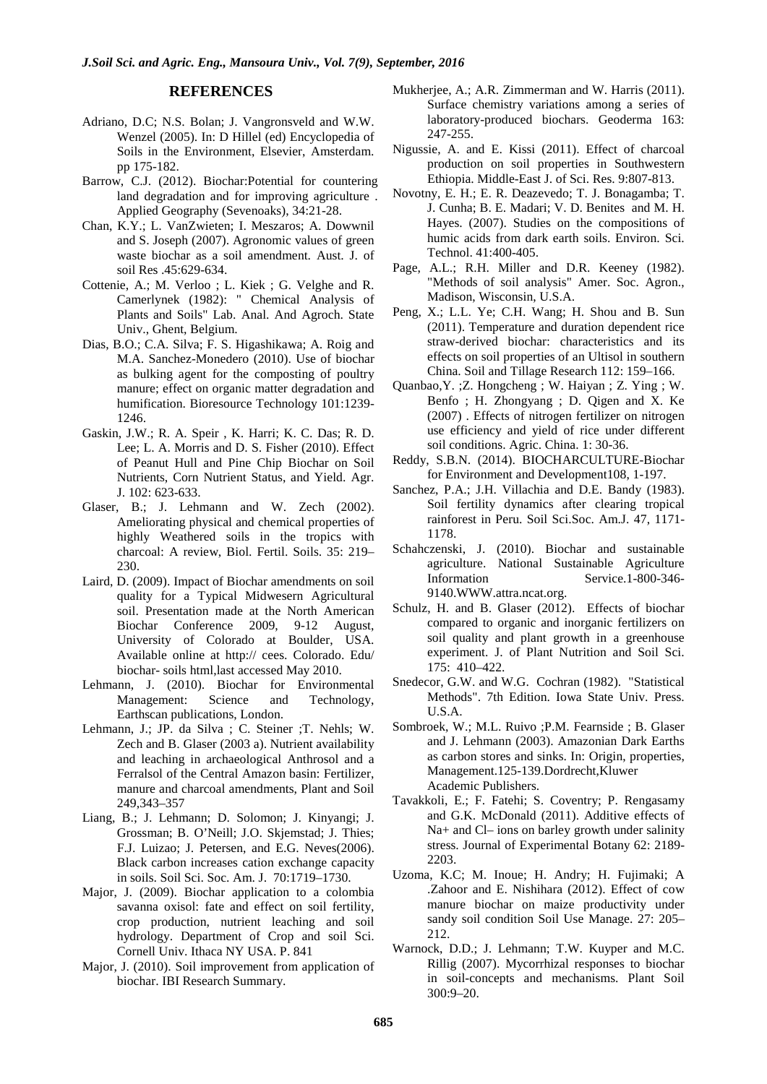### **REFERENCES**

- Adriano, D.C; N.S. Bolan; J. Vangronsveld and W.W. Wenzel (2005). In: D Hillel (ed) Encyclopedia of Soils in the Environment, Elsevier, Amsterdam. pp 175-182.
- Barrow, C.J. (2012). Biochar:Potential for countering land degradation and for improving agriculture . Applied Geography (Sevenoaks), 34:21-28.
- Chan, K.Y.; L. VanZwieten; I. Meszaros; A. Dowwnil and S. Joseph (2007). Agronomic values of green waste biochar as a soil amendment. Aust. J. of soil Res .45:629-634.
- Cottenie, A.; M. Verloo ; L. Kiek ; G. Velghe and R. Camerlynek (1982): " Chemical Analysis of Plants and Soils" Lab. Anal. And Agroch. State Univ., Ghent, Belgium.
- Dias, B.O.; C.A. Silva; F. S. Higashikawa; A. Roig and M.A. Sanchez-Monedero (2010). Use of biochar as bulking agent for the composting of poultry manure; effect on organic matter degradation and humification. Bioresource Technology 101:1239- 1246.
- Gaskin, J.W.; R. A. Speir , K. Harri; K. C. Das; R. D. Lee; L. A. Morris and D. S. Fisher (2010). Effect of Peanut Hull and Pine Chip Biochar on Soil Nutrients, Corn Nutrient Status, and Yield. Agr. J. 102: 623-633.
- Glaser, B.; J. Lehmann and W. Zech (2002). Ameliorating physical and chemical properties of highly Weathered soils in the tropics with charcoal: A review, Biol. Fertil. Soils. 35: 219– 230.
- Laird, D. (2009). Impact of Biochar amendments on soil quality for a Typical Midwesern Agricultural soil. Presentation made at the North American Biochar Conference 2009, 9-12 August, University of Colorado at Boulder, USA. Available online at http:// cees. Colorado. Edu/ biochar- soils html,last accessed May 2010.
- Lehmann, J. (2010). Biochar for Environmental<br>Management: Science and Technology, Management: Science and Technology, Earthscan publications, London.
- Lehmann, J.; JP. da Silva ; C. Steiner ;T. Nehls; W. Zech and B. Glaser (2003 a). Nutrient availability and leaching in archaeological Anthrosol and a Ferralsol of the Central Amazon basin: Fertilizer, manure and charcoal amendments, Plant and Soil 249,343–357
- Liang, B.; J. Lehmann; D. Solomon; J. Kinyangi; J. Grossman; B. O'Neill; J.O. Skjemstad; J. Thies; F.J. Luizao; J. Petersen, and E.G. Neves(2006). Black carbon increases cation exchange capacity in soils. Soil Sci. Soc. Am. J. 70:1719–1730.
- Major, J. (2009). Biochar application to a colombia savanna oxisol: fate and effect on soil fertility, crop production, nutrient leaching and soil hydrology. Department of Crop and soil Sci. Cornell Univ. Ithaca NY USA. P. 841
- Major, J. (2010). Soil improvement from application of biochar. IBI Research Summary.
- Mukherjee, A.; A.R. Zimmerman and W. Harris (2011). Surface chemistry variations among a series of laboratory-produced biochars. Geoderma 163: 247-255.
- Nigussie, A. and E. Kissi (2011). Effect of charcoal production on soil properties in Southwestern Ethiopia. Middle-East J. of Sci. Res. 9:807-813.
- Novotny, E. H.; E. R. Deazevedo; T. J. Bonagamba; T. J. Cunha; B. E. Madari; V. D. Benites and M. H. Hayes. (2007). Studies on the compositions of humic acids from dark earth soils. Environ. Sci. Technol. 41:400-405.
- Page, A.L.; R.H. Miller and D.R. Keeney (1982). "Methods of soil analysis" Amer. Soc. Agron., Madison, Wisconsin, U.S.A.
- Peng, X.; L.L. Ye; C.H. Wang; H. Shou and B. Sun (2011). Temperature and duration dependent rice straw-derived biochar: characteristics and its effects on soil properties of an Ultisol in southern China. Soil and Tillage Research 112: 159–166.
- Quanbao,Y. ;Z. Hongcheng ; W. Haiyan ; Z. Ying ; W. Benfo ; H. Zhongyang ; D. Qigen and X. Ke (2007) . Effects of nitrogen fertilizer on nitrogen use efficiency and yield of rice under different soil conditions. Agric. China. 1: 30-36.
- Reddy, S.B.N. (2014). BIOCHARCULTURE-Biochar for Environment and Development108, 1-197.
- Sanchez, P.A.; J.H. Villachia and D.E. Bandy (1983). Soil fertility dynamics after clearing tropical rainforest in Peru. Soil Sci.Soc. Am.J. 47, 1171- 1178.
- Schahczenski, J. (2010). Biochar and sustainable agriculture. National Sustainable Agriculture Information Service.1-800-346- 9140.WWW.attra.ncat.org.
- Schulz, H. and B. Glaser (2012). Effects of biochar compared to organic and inorganic fertilizers on soil quality and plant growth in a greenhouse experiment. J. of Plant Nutrition and Soil Sci. [175:](http://onlinelibrary.wiley.com/doi/10.1002/jpln.v175.3/issuetoc) 410–422.
- Snedecor, G.W. and W.G. Cochran (1982). "Statistical Methods". 7th Edition. Iowa State Univ. Press. U.S.A.
- Sombroek, W.; M.L. Ruivo ;P.M. Fearnside ; B. Glaser and J. Lehmann (2003). Amazonian Dark Earths as carbon stores and sinks. In: Origin, properties, Management.125-139.Dordrecht,Kluwer Academic Publishers.
- Tavakkoli, E.; F. Fatehi; S. Coventry; P. Rengasamy and G.K. McDonald (2011). Additive effects of Na+ and Cl– ions on barley growth under salinity stress. Journal of Experimental Botany 62: 2189- 2203.
- Uzoma, K.C; M. Inoue; H. Andry; H. Fujimaki; A .Zahoor and E. Nishihara (2012). Effect of cow manure biochar on maize productivity under sandy soil condition Soil Use Manage. 27: 205– 212.
- Warnock, D.D.; J. Lehmann; T.W. Kuyper and M.C. Rillig (2007). Mycorrhizal responses to biochar in soil-concepts and mechanisms. Plant Soil 300:9–20.